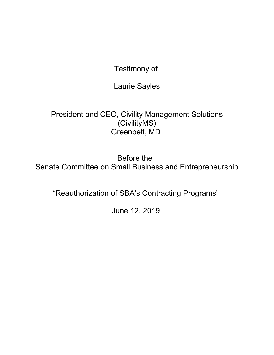Testimony of

Laurie Sayles

President and CEO, Civility Management Solutions (CivilityMS) Greenbelt, MD

Before the Senate Committee on Small Business and Entrepreneurship

"Reauthorization of SBA's Contracting Programs"

June 12, 2019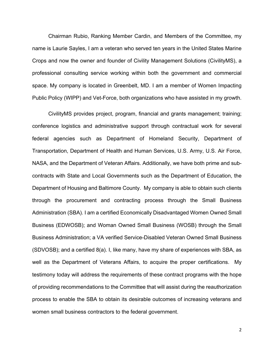Chairman Rubio, Ranking Member Cardin, and Members of the Committee, my name is Laurie Sayles, I am a veteran who served ten years in the United States Marine Crops and now the owner and founder of Civility Management Solutions (CivilityMS), a professional consulting service working within both the government and commercial space. My company is located in Greenbelt, MD. I am a member of Women Impacting Public Policy (WIPP) and Vet-Force, both organizations who have assisted in my growth.

CivilityMS provides project, program, financial and grants management; training; conference logistics and administrative support through contractual work for several federal agencies such as Department of Homeland Security, Department of Transportation, Department of Health and Human Services, U.S. Army, U.S. Air Force, NASA, and the Department of Veteran Affairs. Additionally, we have both prime and subcontracts with State and Local Governments such as the Department of Education, the Department of Housing and Baltimore County. My company is able to obtain such clients through the procurement and contracting process through the Small Business Administration (SBA). I am a certified Economically Disadvantaged Women Owned Small Business (EDWOSB); and Woman Owned Small Business (WOSB) through the Small Business Administration; a VA verified Service-Disabled Veteran Owned Small Business (SDVOSB); and a certified 8(a). I, like many, have my share of experiences with SBA, as well as the Department of Veterans Affairs, to acquire the proper certifications. My testimony today will address the requirements of these contract programs with the hope of providing recommendations to the Committee that will assist during the reauthorization process to enable the SBA to obtain its desirable outcomes of increasing veterans and women small business contractors to the federal government.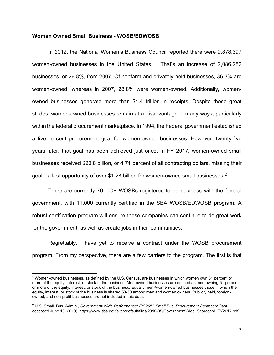## **Woman Owned Small Business - WOSB/EDWOSB**

In 2012, the National Women's Business Council reported there were 9,878,397 women-owned businesses in the United States.<sup>1</sup> That's an increase of 2,086,282 businesses, or 26.8%, from 2007. Of nonfarm and privately-held businesses, 36.3% are women-owned, whereas in 2007, 28.8% were women-owned. Additionally, womenowned businesses generate more than \$1.4 trillion in receipts. Despite these great strides, women-owned businesses remain at a disadvantage in many ways, particularly within the federal procurement marketplace. In 1994, the Federal government established a five percent procurement goal for women-owned businesses. However, twenty-five years later, that goal has been achieved just once. In FY 2017, women-owned small businesses received \$20.8 billion, or 4.71 percent of all contracting dollars, missing their goal—a lost opportunity of over \$1.28 billion for women-owned small businesses.<sup>2</sup>

There are currently 70,000+ WOSBs registered to do business with the federal government, with 11,000 currently certified in the SBA WOSB/EDWOSB program. A robust certification program will ensure these companies can continue to do great work for the government, as well as create jobs in their communities.

Regrettably, I have yet to receive a contract under the WOSB procurement program. From my perspective, there are a few barriers to the program. The first is that

 $\overline{a}$ 

<sup>1</sup> Women-owned businesses, as defined by the U.S. Census, are businesses in which women own 51 percent or more of the equity, interest, or stock of the business. Men-owned businesses are defined as men owning 51 percent or more of the equity, interest, or stock of the business. Equally men-/women-owned businesses those in which the equity, interest, or stock of the business is shared 50-50 among men and women owners. Publicly held, foreignowned, and non-profit businesses are not included in this data.

<sup>2</sup> U.S. Small. Bus. Admin., *Government-Wide Performance: FY 2017 Small Bus. Procurement Scorecard* (last accessed June 10, 2019), https://www.sba.gov/sites/default/files/2018-05/GovernmentWide\_Scorecard\_FY2017.pdf.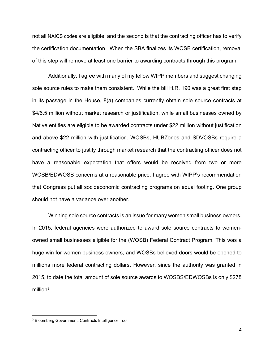not all NAICS codes are eligible, and the second is that the contracting officer has to verify the certification documentation. When the SBA finalizes its WOSB certification, removal of this step will remove at least one barrier to awarding contracts through this program.

Additionally, I agree with many of my fellow WIPP members and suggest changing sole source rules to make them consistent. While the bill H.R. 190 was a great first step in its passage in the House, 8(a) companies currently obtain sole source contracts at \$4/6.5 million without market research or justification, while small businesses owned by Native entities are eligible to be awarded contracts under \$22 million without justification and above \$22 million with justification. WOSBs, HUBZones and SDVOSBs require a contracting officer to justify through market research that the contracting officer does not have a reasonable expectation that offers would be received from two or more WOSB/EDWOSB concerns at a reasonable price. I agree with WIPP's recommendation that Congress put all socioeconomic contracting programs on equal footing. One group should not have a variance over another.

Winning sole source contracts is an issue for many women small business owners. In 2015, federal agencies were authorized to award sole source contracts to womenowned small businesses eligible for the (WOSB) Federal Contract Program. This was a huge win for women business owners, and WOSBs believed doors would be opened to millions more federal contracting dollars. However, since the authority was granted in 2015, to date the total amount of sole source awards to WOSBS/EDWOSBs is only \$278 million $3$ .

l

<sup>3</sup> Bloomberg Government. Contracts Intelligence Tool.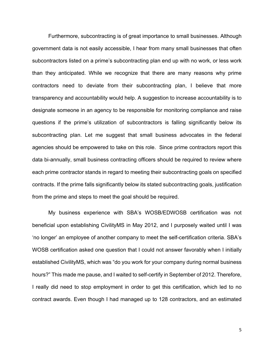Furthermore, subcontracting is of great importance to small businesses. Although government data is not easily accessible, I hear from many small businesses that often subcontractors listed on a prime's subcontracting plan end up with no work, or less work than they anticipated. While we recognize that there are many reasons why prime contractors need to deviate from their subcontracting plan, I believe that more transparency and accountability would help. A suggestion to increase accountability is to designate someone in an agency to be responsible for monitoring compliance and raise questions if the prime's utilization of subcontractors is falling significantly below its subcontracting plan. Let me suggest that small business advocates in the federal agencies should be empowered to take on this role. Since prime contractors report this data bi-annually, small business contracting officers should be required to review where each prime contractor stands in regard to meeting their subcontracting goals on specified contracts. If the prime falls significantly below its stated subcontracting goals, justification from the prime and steps to meet the goal should be required.

My business experience with SBA's WOSB/EDWOSB certification was not beneficial upon establishing CivilityMS in May 2012, and I purposely waited until I was 'no longer' an employee of another company to meet the self-certification criteria. SBA's WOSB certification asked one question that I could not answer favorably when I initially established CivilityMS, which was "do you work for your company during normal business hours?" This made me pause, and I waited to self-certify in September of 2012. Therefore, I really did need to stop employment in order to get this certification, which led to no contract awards. Even though I had managed up to 128 contractors, and an estimated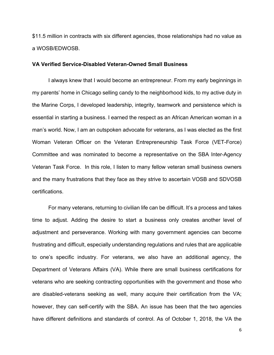\$11.5 million in contracts with six different agencies, those relationships had no value as a WOSB/EDWOSB.

## **VA Verified Service-Disabled Veteran-Owned Small Business**

I always knew that I would become an entrepreneur. From my early beginnings in my parents' home in Chicago selling candy to the neighborhood kids, to my active duty in the Marine Corps, I developed leadership, integrity, teamwork and persistence which is essential in starting a business. I earned the respect as an African American woman in a man's world. Now, I am an outspoken advocate for veterans, as I was elected as the first Woman Veteran Officer on the Veteran Entrepreneurship Task Force (VET-Force) Committee and was nominated to become a representative on the SBA Inter-Agency Veteran Task Force. In this role, I listen to many fellow veteran small business owners and the many frustrations that they face as they strive to ascertain VOSB and SDVOSB certifications.

For many veterans, returning to civilian life can be difficult. It's a process and takes time to adjust. Adding the desire to start a business only creates another level of adjustment and perseverance. Working with many government agencies can become frustrating and difficult, especially understanding regulations and rules that are applicable to one's specific industry. For veterans, we also have an additional agency, the Department of Veterans Affairs (VA). While there are small business certifications for veterans who are seeking contracting opportunities with the government and those who are disabled-veterans seeking as well, many acquire their certification from the VA; however, they can self-certify with the SBA. An issue has been that the two agencies have different definitions and standards of control. As of October 1, 2018, the VA the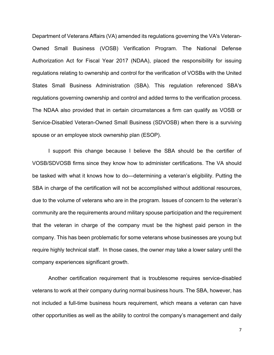Department of Veterans Affairs (VA) amended its regulations governing the VA's Veteran-Owned Small Business (VOSB) Verification Program. The National Defense Authorization Act for Fiscal Year 2017 (NDAA), placed the responsibility for issuing regulations relating to ownership and control for the verification of VOSBs with the United States Small Business Administration (SBA). This regulation referenced SBA's regulations governing ownership and control and added terms to the verification process. The NDAA also provided that in certain circumstances a firm can qualify as VOSB or Service-Disabled Veteran-Owned Small Business (SDVOSB) when there is a surviving spouse or an employee stock ownership plan (ESOP).

I support this change because I believe the SBA should be the certifier of VOSB/SDVOSB firms since they know how to administer certifications. The VA should be tasked with what it knows how to do—determining a veteran's eligibility. Putting the SBA in charge of the certification will not be accomplished without additional resources, due to the volume of veterans who are in the program. Issues of concern to the veteran's community are the requirements around military spouse participation and the requirement that the veteran in charge of the company must be the highest paid person in the company. This has been problematic for some veterans whose businesses are young but require highly technical staff. In those cases, the owner may take a lower salary until the company experiences significant growth.

Another certification requirement that is troublesome requires service-disabled veterans to work at their company during normal business hours. The SBA, however, has not included a full-time business hours requirement, which means a veteran can have other opportunities as well as the ability to control the company's management and daily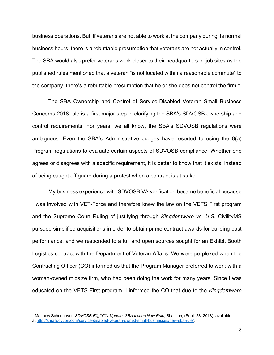business operations. But, if veterans are not able to work at the company during its normal business hours, there is a rebuttable presumption that veterans are not actually in control. The SBA would also prefer veterans work closer to their headquarters or job sites as the published rules mentioned that a veteran "is not located within a reasonable commute" to the company, there's a rebuttable presumption that he or she does not control the firm.<sup>4</sup>

The SBA Ownership and Control of Service-Disabled Veteran Small Business Concerns 2018 rule is a first major step in clarifying the SBA's SDVOSB ownership and control requirements. For years, we all know, the SBA's SDVOSB regulations were ambiguous. Even the SBA's Administrative Judges have resorted to using the 8(a) Program regulations to evaluate certain aspects of SDVOSB compliance. Whether one agrees or disagrees with a specific requirement, it is better to know that it exists, instead of being caught off guard during a protest when a contract is at stake.

My business experience with SDVOSB VA verification became beneficial because I was involved with VET-Force and therefore knew the law on the VETS First program and the Supreme Court Ruling of justifying through *Kingdomware vs. U.S.* CivilityMS pursued simplified acquisitions in order to obtain prime contract awards for building past performance, and we responded to a full and open sources sought for an Exhibit Booth Logistics contract with the Department of Veteran Affairs. We were perplexed when the Contracting Officer (CO) informed us that the Program Manager preferred to work with a woman-owned midsize firm, who had been doing the work for many years. Since I was educated on the VETS First program, I informed the CO that due to the *Kingdomware*

 $\overline{a}$ 

<sup>4</sup> Matthew Schoonover, *SDVOSB Eligibility Update*: *SBA Issues New Rule*, Shalloon, (Sept. 28, 2018), available at http://smallgovcon.com/service-disabled-veteran-owned-small-businesses/new-sba-rule/.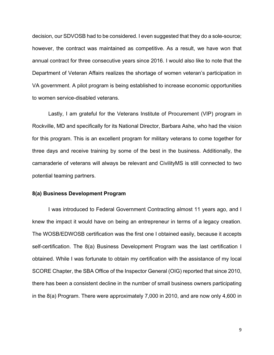decision, our SDVOSB had to be considered. I even suggested that they do a sole-source; however, the contract was maintained as competitive. As a result, we have won that annual contract for three consecutive years since 2016. I would also like to note that the Department of Veteran Affairs realizes the shortage of women veteran's participation in VA government. A pilot program is being established to increase economic opportunities to women service-disabled veterans.

Lastly, I am grateful for the Veterans Institute of Procurement (VIP) program in Rockville, MD and specifically for its National Director, Barbara Ashe, who had the vision for this program. This is an excellent program for military veterans to come together for three days and receive training by some of the best in the business. Additionally, the camaraderie of veterans will always be relevant and CivilityMS is still connected to two potential teaming partners.

## **8(a) Business Development Program**

I was introduced to Federal Government Contracting almost 11 years ago, and I knew the impact it would have on being an entrepreneur in terms of a legacy creation. The WOSB/EDWOSB certification was the first one I obtained easily, because it accepts self-certification. The 8(a) Business Development Program was the last certification I obtained. While I was fortunate to obtain my certification with the assistance of my local SCORE Chapter, the SBA Office of the Inspector General (OIG) reported that since 2010, there has been a consistent decline in the number of small business owners participating in the 8(a) Program. There were approximately 7,000 in 2010, and are now only 4,600 in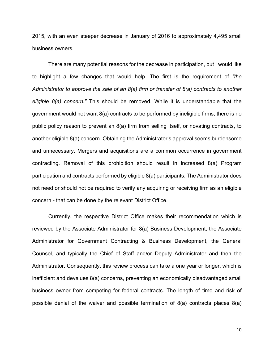2015, with an even steeper decrease in January of 2016 to approximately 4,495 small business owners.

There are many potential reasons for the decrease in participation, but I would like to highlight a few changes that would help. The first is the requirement of *"the Administrator to approve the sale of an 8(a) firm or transfer of 8(a) contracts to another eligible 8(a) concern."* This should be removed. While it is understandable that the government would not want 8(a) contracts to be performed by ineligible firms, there is no public policy reason to prevent an 8(a) firm from selling itself, or novating contracts, to another eligible 8(a) concern. Obtaining the Administrator's approval seems burdensome and unnecessary. Mergers and acquisitions are a common occurrence in government contracting. Removal of this prohibition should result in increased 8(a) Program participation and contracts performed by eligible 8(a) participants. The Administrator does not need or should not be required to verify any acquiring or receiving firm as an eligible concern - that can be done by the relevant District Office.

Currently, the respective District Office makes their recommendation which is reviewed by the Associate Administrator for 8(a) Business Development, the Associate Administrator for Government Contracting & Business Development, the General Counsel, and typically the Chief of Staff and/or Deputy Administrator and then the Administrator. Consequently, this review process can take a one year or longer, which is inefficient and devalues 8(a) concerns, preventing an economically disadvantaged small business owner from competing for federal contracts. The length of time and risk of possible denial of the waiver and possible termination of 8(a) contracts places 8(a)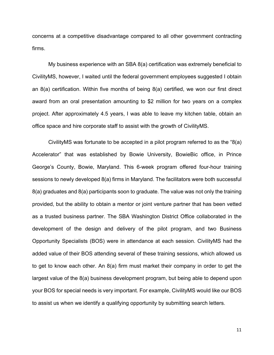concerns at a competitive disadvantage compared to all other government contracting firms.

My business experience with an SBA 8(a) certification was extremely beneficial to CivilityMS, however, I waited until the federal government employees suggested I obtain an 8(a) certification. Within five months of being 8(a) certified, we won our first direct award from an oral presentation amounting to \$2 million for two years on a complex project. After approximately 4.5 years, I was able to leave my kitchen table, obtain an office space and hire corporate staff to assist with the growth of CivilityMS.

CivilityMS was fortunate to be accepted in a pilot program referred to as the "8(a) Accelerator" that was established by Bowie University, BowieBic office, in Prince George's County, Bowie, Maryland. This 6-week program offered four-hour training sessions to newly developed 8(a) firms in Maryland. The facilitators were both successful 8(a) graduates and 8(a) participants soon to graduate. The value was not only the training provided, but the ability to obtain a mentor or joint venture partner that has been vetted as a trusted business partner. The SBA Washington District Office collaborated in the development of the design and delivery of the pilot program, and two Business Opportunity Specialists (BOS) were in attendance at each session. CivilityMS had the added value of their BOS attending several of these training sessions, which allowed us to get to know each other. An 8(a) firm must market their company in order to get the largest value of the 8(a) business development program, but being able to depend upon your BOS for special needs is very important. For example, CivilityMS would like our BOS to assist us when we identify a qualifying opportunity by submitting search letters.